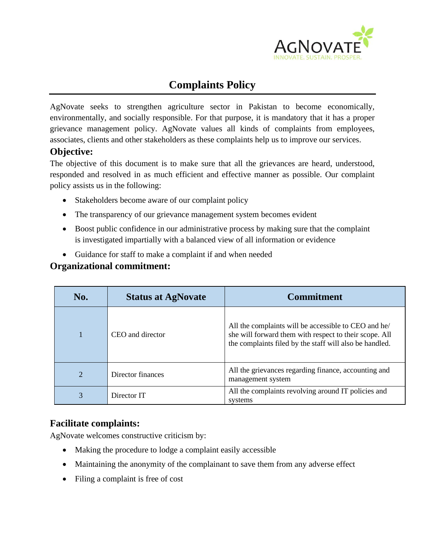

# **Complaints Policy**

AgNovate seeks to strengthen agriculture sector in Pakistan to become economically, environmentally, and socially responsible. For that purpose, it is mandatory that it has a proper grievance management policy. AgNovate values all kinds of complaints from employees, associates, clients and other stakeholders as these complaints help us to improve our services.

## **Objective:**

The objective of this document is to make sure that all the grievances are heard, understood, responded and resolved in as much efficient and effective manner as possible. Our complaint policy assists us in the following:

- Stakeholders become aware of our complaint policy
- The transparency of our grievance management system becomes evident
- Boost public confidence in our administrative process by making sure that the complaint is investigated impartially with a balanced view of all information or evidence
- Guidance for staff to make a complaint if and when needed

### **Organizational commitment:**

| No. | <b>Status at AgNovate</b> | <b>Commitment</b>                                                                                                                                                         |
|-----|---------------------------|---------------------------------------------------------------------------------------------------------------------------------------------------------------------------|
|     | CEO and director          | All the complaints will be accessible to CEO and he/<br>she will forward them with respect to their scope. All<br>the complaints filed by the staff will also be handled. |
| 2   | Director finances         | All the grievances regarding finance, accounting and<br>management system                                                                                                 |
| 3   | Director IT               | All the complaints revolving around IT policies and<br>systems                                                                                                            |

## **Facilitate complaints:**

AgNovate welcomes constructive criticism by:

- Making the procedure to lodge a complaint easily accessible
- Maintaining the anonymity of the complainant to save them from any adverse effect
- Filing a complaint is free of cost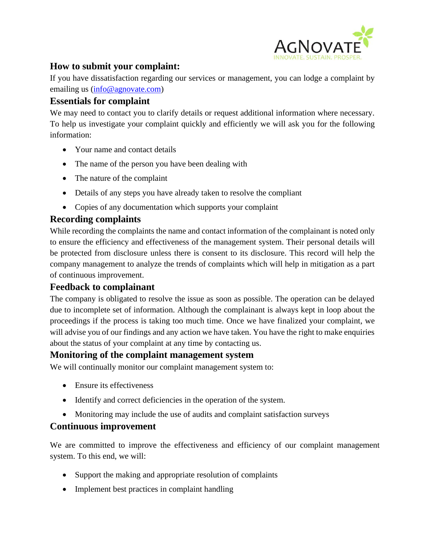

# **How to submit your complaint:**

If you have dissatisfaction regarding our services or management, you can lodge a complaint by emailing us [\(info@agnovate.com\)](mailto:info@agnovate.com)

#### **Essentials for complaint**

We may need to contact you to clarify details or request additional information where necessary. To help us investigate your complaint quickly and efficiently we will ask you for the following information:

- Your name and contact details
- The name of the person you have been dealing with
- The nature of the complaint
- Details of any steps you have already taken to resolve the compliant
- Copies of any documentation which supports your complaint

## **Recording complaints**

While recording the complaints the name and contact information of the complainant is noted only to ensure the efficiency and effectiveness of the management system. Their personal details will be protected from disclosure unless there is consent to its disclosure. This record will help the company management to analyze the trends of complaints which will help in mitigation as a part of continuous improvement.

#### **Feedback to complainant**

The company is obligated to resolve the issue as soon as possible. The operation can be delayed due to incomplete set of information. Although the complainant is always kept in loop about the proceedings if the process is taking too much time. Once we have finalized your complaint, we will advise you of our findings and any action we have taken. You have the right to make enquiries about the status of your complaint at any time by contacting us.

#### **Monitoring of the complaint management system**

We will continually monitor our complaint management system to:

- Ensure its effectiveness
- Identify and correct deficiencies in the operation of the system.
- Monitoring may include the use of audits and complaint satisfaction surveys

#### **Continuous improvement**

We are committed to improve the effectiveness and efficiency of our complaint management system. To this end, we will:

- Support the making and appropriate resolution of complaints
- Implement best practices in complaint handling